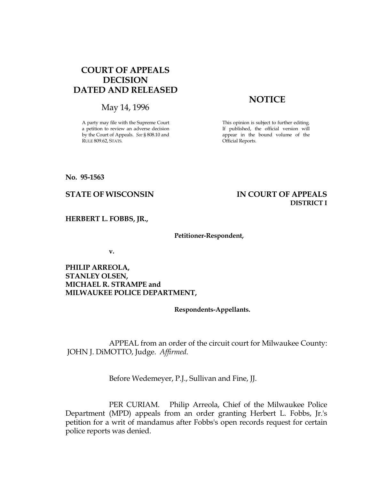# COURT OF APPEALS DECISION DATED AND RELEASED

May 14, 1996

A party may file with the Supreme Court a petition to review an adverse decision by the Court of Appeals. See § 808.10 and RULE 809.62, STATS.

# **NOTICE**

This opinion is subject to further editing. If published, the official version will appear in the bound volume of the Official Reports.

## No. 95-1563

## STATE OF WISCONSIN THE RESERVE TO THE STATE OF APPEALS DISTRICT I

HERBERT L. FOBBS, JR.,

## Petitioner-Respondent,

v.

## PHILIP ARREOLA, STANLEY OLSEN, MICHAEL R. STRAMPE and MILWAUKEE POLICE DEPARTMENT,

Respondents-Appellants.

 APPEAL from an order of the circuit court for Milwaukee County: JOHN J. DiMOTTO, Judge. Affirmed.

Before Wedemeyer, P.J., Sullivan and Fine, JJ.

 PER CURIAM. Philip Arreola, Chief of the Milwaukee Police Department (MPD) appeals from an order granting Herbert L. Fobbs, Jr.'s petition for a writ of mandamus after Fobbs's open records request for certain police reports was denied.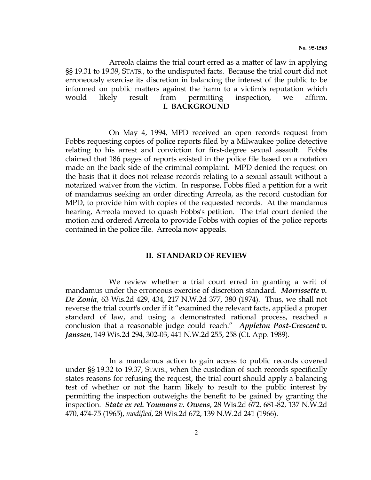Arreola claims the trial court erred as a matter of law in applying §§ 19.31 to 19.39, STATS., to the undisputed facts. Because the trial court did not erroneously exercise its discretion in balancing the interest of the public to be informed on public matters against the harm to a victim's reputation which would likely result from permitting inspection, we affirm. I. BACKGROUND

 On May 4, 1994, MPD received an open records request from Fobbs requesting copies of police reports filed by a Milwaukee police detective relating to his arrest and conviction for first-degree sexual assault. Fobbs claimed that 186 pages of reports existed in the police file based on a notation made on the back side of the criminal complaint. MPD denied the request on the basis that it does not release records relating to a sexual assault without a notarized waiver from the victim. In response, Fobbs filed a petition for a writ of mandamus seeking an order directing Arreola, as the record custodian for MPD, to provide him with copies of the requested records. At the mandamus hearing, Arreola moved to quash Fobbs's petition. The trial court denied the motion and ordered Arreola to provide Fobbs with copies of the police reports contained in the police file. Arreola now appeals.

## II. STANDARD OF REVIEW

 We review whether a trial court erred in granting a writ of mandamus under the erroneous exercise of discretion standard. Morrissette v. De Zonia, 63 Wis.2d 429, 434, 217 N.W.2d 377, 380 (1974). Thus, we shall not reverse the trial court's order if it "examined the relevant facts, applied a proper standard of law, and using a demonstrated rational process, reached a conclusion that a reasonable judge could reach." Appleton Post-Crescent v. Janssen, 149 Wis.2d 294, 302-03, 441 N.W.2d 255, 258 (Ct. App. 1989).

 In a mandamus action to gain access to public records covered under §§ 19.32 to 19.37, STATS., when the custodian of such records specifically states reasons for refusing the request, the trial court should apply a balancing test of whether or not the harm likely to result to the public interest by permitting the inspection outweighs the benefit to be gained by granting the inspection. State ex rel. Youmans v. Owens, 28 Wis.2d 672, 681-82, 137 N.W.2d 470, 474-75 (1965), modified, 28 Wis.2d 672, 139 N.W.2d 241 (1966).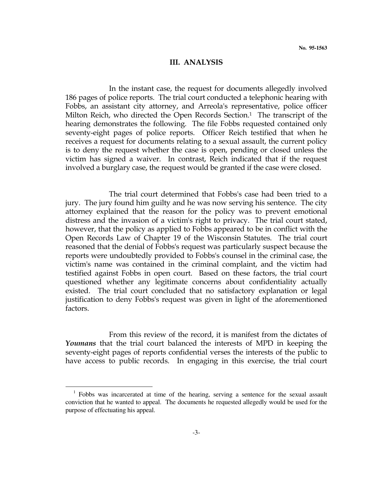#### III. ANALYSIS

 In the instant case, the request for documents allegedly involved 186 pages of police reports. The trial court conducted a telephonic hearing with Fobbs, an assistant city attorney, and Arreola's representative, police officer Milton Reich, who directed the Open Records Section. <sup>1</sup> The transcript of the hearing demonstrates the following. The file Fobbs requested contained only seventy-eight pages of police reports. Officer Reich testified that when he receives a request for documents relating to a sexual assault, the current policy is to deny the request whether the case is open, pending or closed unless the victim has signed a waiver. In contrast, Reich indicated that if the request involved a burglary case, the request would be granted if the case were closed.

 The trial court determined that Fobbs's case had been tried to a jury. The jury found him guilty and he was now serving his sentence. The city attorney explained that the reason for the policy was to prevent emotional distress and the invasion of a victim's right to privacy. The trial court stated, however, that the policy as applied to Fobbs appeared to be in conflict with the Open Records Law of Chapter 19 of the Wisconsin Statutes. The trial court reasoned that the denial of Fobbs's request was particularly suspect because the reports were undoubtedly provided to Fobbs's counsel in the criminal case, the victim's name was contained in the criminal complaint, and the victim had testified against Fobbs in open court. Based on these factors, the trial court questioned whether any legitimate concerns about confidentiality actually existed. The trial court concluded that no satisfactory explanation or legal justification to deny Fobbs's request was given in light of the aforementioned factors.

 From this review of the record, it is manifest from the dictates of Youmans that the trial court balanced the interests of MPD in keeping the seventy-eight pages of reports confidential verses the interests of the public to have access to public records. In engaging in this exercise, the trial court

 $\overline{a}$ 

<sup>&</sup>lt;sup>1</sup> Fobbs was incarcerated at time of the hearing, serving a sentence for the sexual assault conviction that he wanted to appeal. The documents he requested allegedly would be used for the purpose of effectuating his appeal.